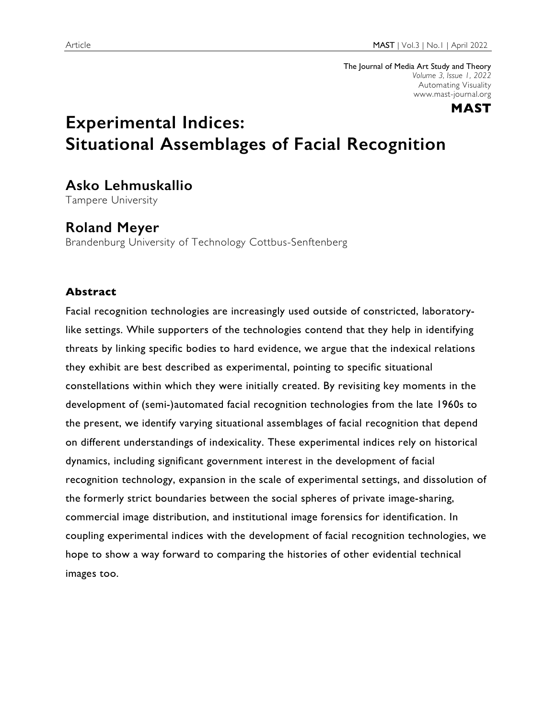The Journal of Media Art Study and Theory *Volume 3, Issue 1, 2022* Automating Visuality www.mast-journal.org



# **Experimental Indices: Situational Assemblages of Facial Recognition**

# **Asko Lehmuskallio**

Tampere University

# **Roland Meyer**

Brandenburg University of Technology Cottbus-Senftenberg

## **Abstract**

Facial recognition technologies are increasingly used outside of constricted, laboratorylike settings. While supporters of the technologies contend that they help in identifying threats by linking specific bodies to hard evidence, we argue that the indexical relations they exhibit are best described as experimental, pointing to specific situational constellations within which they were initially created. By revisiting key moments in the development of (semi-)automated facial recognition technologies from the late 1960s to the present, we identify varying situational assemblages of facial recognition that depend on different understandings of indexicality. These experimental indices rely on historical dynamics, including significant government interest in the development of facial recognition technology, expansion in the scale of experimental settings, and dissolution of the formerly strict boundaries between the social spheres of private image-sharing, commercial image distribution, and institutional image forensics for identification. In coupling experimental indices with the development of facial recognition technologies, we hope to show a way forward to comparing the histories of other evidential technical images too.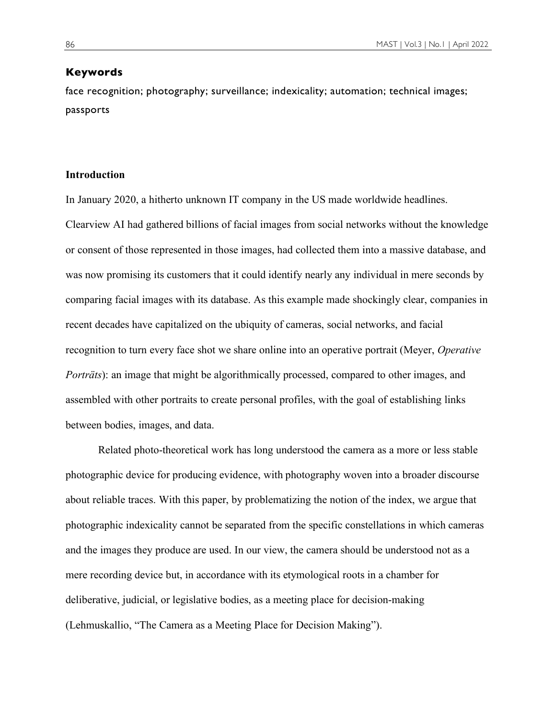#### **Keywords**

face recognition; photography; surveillance; indexicality; automation; technical images; passports

### **Introduction**

In January 2020, a hitherto unknown IT company in the US made worldwide headlines. Clearview AI had gathered billions of facial images from social networks without the knowledge or consent of those represented in those images, had collected them into a massive database, and was now promising its customers that it could identify nearly any individual in mere seconds by comparing facial images with its database. As this example made shockingly clear, companies in recent decades have capitalized on the ubiquity of cameras, social networks, and facial recognition to turn every face shot we share online into an operative portrait (Meyer, *Operative Porträts*): an image that might be algorithmically processed, compared to other images, and assembled with other portraits to create personal profiles, with the goal of establishing links between bodies, images, and data.

Related photo-theoretical work has long understood the camera as a more or less stable photographic device for producing evidence, with photography woven into a broader discourse about reliable traces. With this paper, by problematizing the notion of the index, we argue that photographic indexicality cannot be separated from the specific constellations in which cameras and the images they produce are used. In our view, the camera should be understood not as a mere recording device but, in accordance with its etymological roots in a chamber for deliberative, judicial, or legislative bodies, as a meeting place for decision-making (Lehmuskallio, "The Camera as a Meeting Place for Decision Making").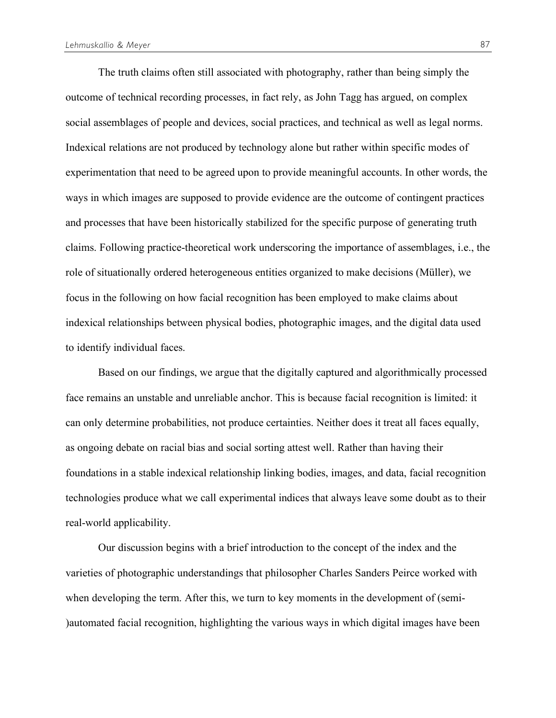The truth claims often still associated with photography, rather than being simply the outcome of technical recording processes, in fact rely, as John Tagg has argued, on complex social assemblages of people and devices, social practices, and technical as well as legal norms. Indexical relations are not produced by technology alone but rather within specific modes of experimentation that need to be agreed upon to provide meaningful accounts. In other words, the ways in which images are supposed to provide evidence are the outcome of contingent practices and processes that have been historically stabilized for the specific purpose of generating truth claims. Following practice-theoretical work underscoring the importance of assemblages, i.e., the role of situationally ordered heterogeneous entities organized to make decisions (Müller), we focus in the following on how facial recognition has been employed to make claims about indexical relationships between physical bodies, photographic images, and the digital data used to identify individual faces.

Based on our findings, we argue that the digitally captured and algorithmically processed face remains an unstable and unreliable anchor. This is because facial recognition is limited: it can only determine probabilities, not produce certainties. Neither does it treat all faces equally, as ongoing debate on racial bias and social sorting attest well. Rather than having their foundations in a stable indexical relationship linking bodies, images, and data, facial recognition technologies produce what we call experimental indices that always leave some doubt as to their real-world applicability.

Our discussion begins with a brief introduction to the concept of the index and the varieties of photographic understandings that philosopher Charles Sanders Peirce worked with when developing the term. After this, we turn to key moments in the development of (semi- )automated facial recognition, highlighting the various ways in which digital images have been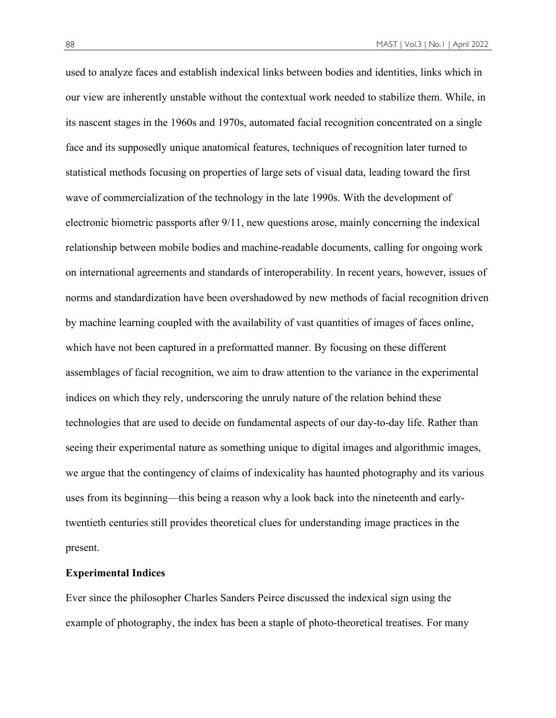used to analyze faces and establish indexical links between bodies and identities, links which in our view are inherently unstable without the contextual work needed to stabilize them. While, in its nascent stages in the 1960s and 1970s, automated facial recognition concentrated on a single face and its supposedly unique anatomical features, techniques of recognition later turned to statistical methods focusing on properties of large sets of visual data, leading toward the first wave of commercialization of the technology in the late 1990s. With the development of electronic biometric passports after 9/11, new questions arose, mainly concerning the indexical relationship between mobile bodies and machine-readable documents, calling for ongoing work on international agreements and standards of interoperability. In recent years, however, issues of norms and standardization have been overshadowed by new methods of facial recognition driven by machine learning coupled with the availability of vast quantities of images of faces online, which have not been captured in a preformatted manner. By focusing on these different assemblages of facial recognition, we aim to draw attention to the variance in the experimental indices on which they rely, underscoring the unruly nature of the relation behind these technologies that are used to decide on fundamental aspects of our day-to-day life. Rather than seeing their experimental nature as something unique to digital images and algorithmic images, we argue that the contingency of claims of indexicality has haunted photography and its various uses from its beginning—this being a reason why a look back into the nineteenth and earlytwentieth centuries still provides theoretical clues for understanding image practices in the present.

### **Experimental Indices**

Ever since the philosopher Charles Sanders Peirce discussed the indexical sign using the example of photography, the index has been a staple of photo-theoretical treatises. For many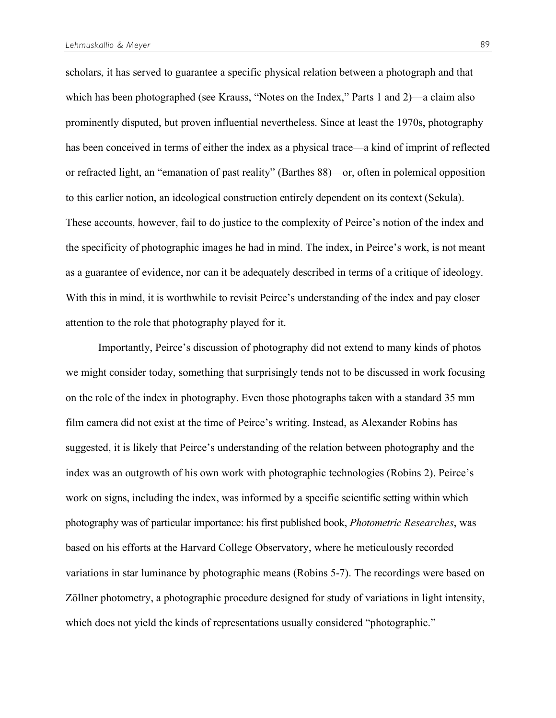scholars, it has served to guarantee a specific physical relation between a photograph and that which has been photographed (see Krauss, "Notes on the Index," Parts 1 and 2)—a claim also prominently disputed, but proven influential nevertheless. Since at least the 1970s, photography has been conceived in terms of either the index as a physical trace—a kind of imprint of reflected or refracted light, an "emanation of past reality" (Barthes 88)—or, often in polemical opposition to this earlier notion, an ideological construction entirely dependent on its context (Sekula). These accounts, however, fail to do justice to the complexity of Peirce's notion of the index and the specificity of photographic images he had in mind. The index, in Peirce's work, is not meant as a guarantee of evidence, nor can it be adequately described in terms of a critique of ideology. With this in mind, it is worthwhile to revisit Peirce's understanding of the index and pay closer attention to the role that photography played for it.

Importantly, Peirce's discussion of photography did not extend to many kinds of photos we might consider today, something that surprisingly tends not to be discussed in work focusing on the role of the index in photography. Even those photographs taken with a standard 35 mm film camera did not exist at the time of Peirce's writing. Instead, as Alexander Robins has suggested, it is likely that Peirce's understanding of the relation between photography and the index was an outgrowth of his own work with photographic technologies (Robins 2). Peirce's work on signs, including the index, was informed by a specific scientific setting within which photography was of particular importance: his first published book, *Photometric Researches*, was based on his efforts at the Harvard College Observatory, where he meticulously recorded variations in star luminance by photographic means (Robins 5-7). The recordings were based on Zöllner photometry, a photographic procedure designed for study of variations in light intensity, which does not yield the kinds of representations usually considered "photographic."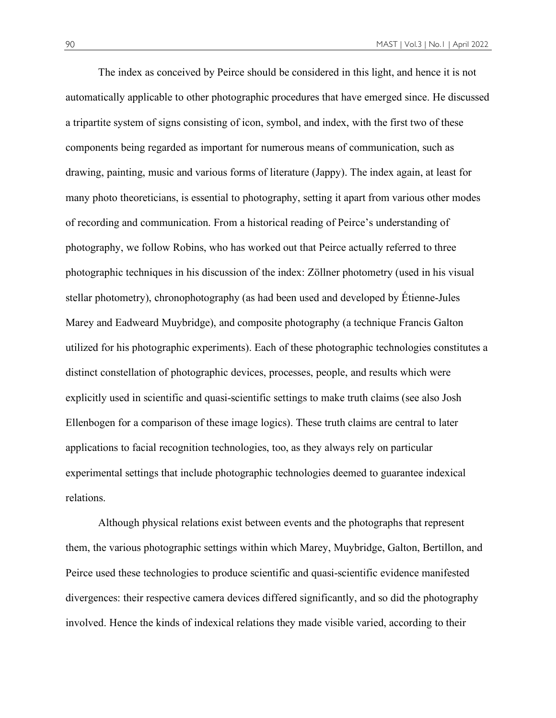The index as conceived by Peirce should be considered in this light, and hence it is not automatically applicable to other photographic procedures that have emerged since. He discussed a tripartite system of signs consisting of icon, symbol, and index, with the first two of these components being regarded as important for numerous means of communication, such as drawing, painting, music and various forms of literature (Jappy). The index again, at least for many photo theoreticians, is essential to photography, setting it apart from various other modes of recording and communication. From a historical reading of Peirce's understanding of photography, we follow Robins, who has worked out that Peirce actually referred to three photographic techniques in his discussion of the index: Zöllner photometry (used in his visual stellar photometry), chronophotography (as had been used and developed by Étienne-Jules Marey and Eadweard Muybridge), and composite photography (a technique Francis Galton utilized for his photographic experiments). Each of these photographic technologies constitutes a distinct constellation of photographic devices, processes, people, and results which were explicitly used in scientific and quasi-scientific settings to make truth claims (see also Josh Ellenbogen for a comparison of these image logics). These truth claims are central to later applications to facial recognition technologies, too, as they always rely on particular experimental settings that include photographic technologies deemed to guarantee indexical relations.

Although physical relations exist between events and the photographs that represent them, the various photographic settings within which Marey, Muybridge, Galton, Bertillon, and Peirce used these technologies to produce scientific and quasi-scientific evidence manifested divergences: their respective camera devices differed significantly, and so did the photography involved. Hence the kinds of indexical relations they made visible varied, according to their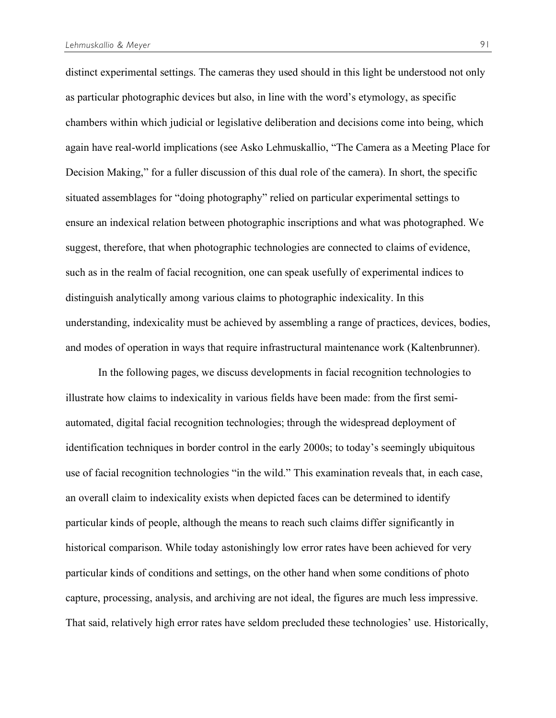distinct experimental settings. The cameras they used should in this light be understood not only as particular photographic devices but also, in line with the word's etymology, as specific chambers within which judicial or legislative deliberation and decisions come into being, which again have real-world implications (see Asko Lehmuskallio, "The Camera as a Meeting Place for Decision Making," for a fuller discussion of this dual role of the camera). In short, the specific situated assemblages for "doing photography" relied on particular experimental settings to ensure an indexical relation between photographic inscriptions and what was photographed. We suggest, therefore, that when photographic technologies are connected to claims of evidence, such as in the realm of facial recognition, one can speak usefully of experimental indices to distinguish analytically among various claims to photographic indexicality. In this understanding, indexicality must be achieved by assembling a range of practices, devices, bodies, and modes of operation in ways that require infrastructural maintenance work (Kaltenbrunner).

In the following pages, we discuss developments in facial recognition technologies to illustrate how claims to indexicality in various fields have been made: from the first semiautomated, digital facial recognition technologies; through the widespread deployment of identification techniques in border control in the early 2000s; to today's seemingly ubiquitous use of facial recognition technologies "in the wild." This examination reveals that, in each case, an overall claim to indexicality exists when depicted faces can be determined to identify particular kinds of people, although the means to reach such claims differ significantly in historical comparison. While today astonishingly low error rates have been achieved for very particular kinds of conditions and settings, on the other hand when some conditions of photo capture, processing, analysis, and archiving are not ideal, the figures are much less impressive. That said, relatively high error rates have seldom precluded these technologies' use. Historically,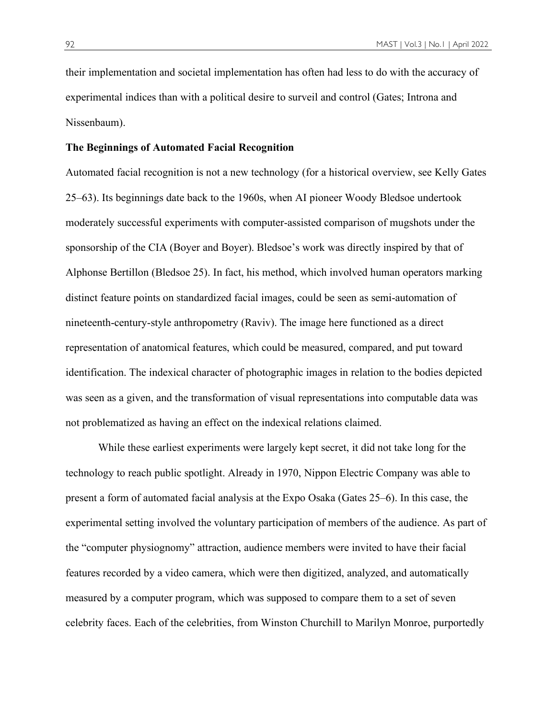their implementation and societal implementation has often had less to do with the accuracy of experimental indices than with a political desire to surveil and control (Gates; Introna and Nissenbaum).

#### **The Beginnings of Automated Facial Recognition**

Automated facial recognition is not a new technology (for a historical overview, see Kelly Gates 25–63). Its beginnings date back to the 1960s, when AI pioneer Woody Bledsoe undertook moderately successful experiments with computer-assisted comparison of mugshots under the sponsorship of the CIA (Boyer and Boyer). Bledsoe's work was directly inspired by that of Alphonse Bertillon (Bledsoe 25). In fact, his method, which involved human operators marking distinct feature points on standardized facial images, could be seen as semi-automation of nineteenth-century-style anthropometry (Raviv). The image here functioned as a direct representation of anatomical features, which could be measured, compared, and put toward identification. The indexical character of photographic images in relation to the bodies depicted was seen as a given, and the transformation of visual representations into computable data was not problematized as having an effect on the indexical relations claimed.

While these earliest experiments were largely kept secret, it did not take long for the technology to reach public spotlight. Already in 1970, Nippon Electric Company was able to present a form of automated facial analysis at the Expo Osaka (Gates 25–6). In this case, the experimental setting involved the voluntary participation of members of the audience. As part of the "computer physiognomy" attraction, audience members were invited to have their facial features recorded by a video camera, which were then digitized, analyzed, and automatically measured by a computer program, which was supposed to compare them to a set of seven celebrity faces. Each of the celebrities, from Winston Churchill to Marilyn Monroe, purportedly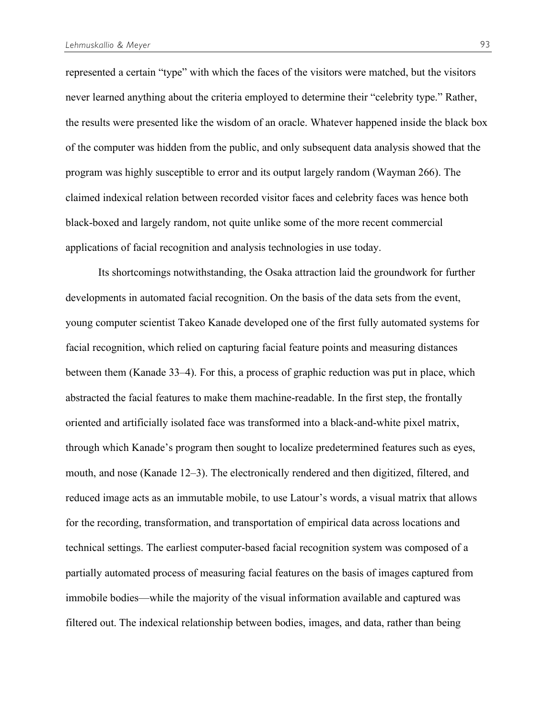represented a certain "type" with which the faces of the visitors were matched, but the visitors never learned anything about the criteria employed to determine their "celebrity type." Rather, the results were presented like the wisdom of an oracle. Whatever happened inside the black box of the computer was hidden from the public, and only subsequent data analysis showed that the program was highly susceptible to error and its output largely random (Wayman 266). The claimed indexical relation between recorded visitor faces and celebrity faces was hence both black-boxed and largely random, not quite unlike some of the more recent commercial applications of facial recognition and analysis technologies in use today.

Its shortcomings notwithstanding, the Osaka attraction laid the groundwork for further developments in automated facial recognition. On the basis of the data sets from the event, young computer scientist Takeo Kanade developed one of the first fully automated systems for facial recognition, which relied on capturing facial feature points and measuring distances between them (Kanade 33–4). For this, a process of graphic reduction was put in place, which abstracted the facial features to make them machine-readable. In the first step, the frontally oriented and artificially isolated face was transformed into a black-and-white pixel matrix, through which Kanade's program then sought to localize predetermined features such as eyes, mouth, and nose (Kanade 12–3). The electronically rendered and then digitized, filtered, and reduced image acts as an immutable mobile, to use Latour's words, a visual matrix that allows for the recording, transformation, and transportation of empirical data across locations and technical settings. The earliest computer-based facial recognition system was composed of a partially automated process of measuring facial features on the basis of images captured from immobile bodies—while the majority of the visual information available and captured was filtered out. The indexical relationship between bodies, images, and data, rather than being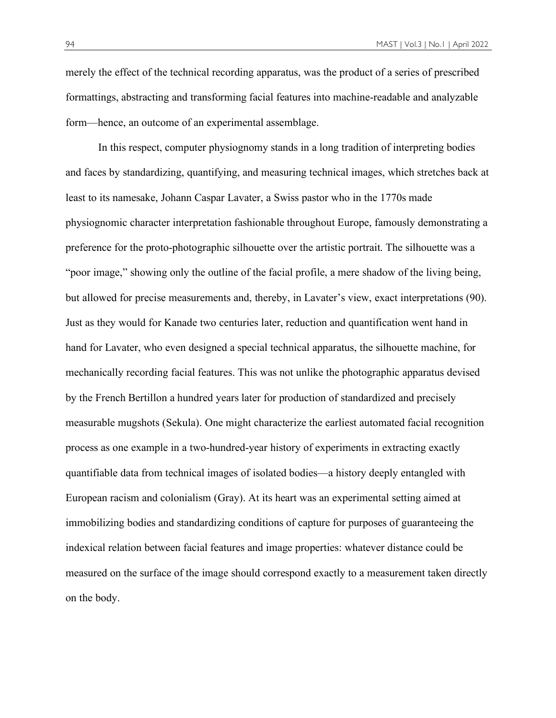merely the effect of the technical recording apparatus, was the product of a series of prescribed formattings, abstracting and transforming facial features into machine-readable and analyzable form—hence, an outcome of an experimental assemblage.

In this respect, computer physiognomy stands in a long tradition of interpreting bodies and faces by standardizing, quantifying, and measuring technical images, which stretches back at least to its namesake, Johann Caspar Lavater, a Swiss pastor who in the 1770s made physiognomic character interpretation fashionable throughout Europe, famously demonstrating a preference for the proto-photographic silhouette over the artistic portrait. The silhouette was a "poor image," showing only the outline of the facial profile, a mere shadow of the living being, but allowed for precise measurements and, thereby, in Lavater's view, exact interpretations (90). Just as they would for Kanade two centuries later, reduction and quantification went hand in hand for Lavater, who even designed a special technical apparatus, the silhouette machine, for mechanically recording facial features. This was not unlike the photographic apparatus devised by the French Bertillon a hundred years later for production of standardized and precisely measurable mugshots (Sekula). One might characterize the earliest automated facial recognition process as one example in a two-hundred-year history of experiments in extracting exactly quantifiable data from technical images of isolated bodies—a history deeply entangled with European racism and colonialism (Gray). At its heart was an experimental setting aimed at immobilizing bodies and standardizing conditions of capture for purposes of guaranteeing the indexical relation between facial features and image properties: whatever distance could be measured on the surface of the image should correspond exactly to a measurement taken directly on the body.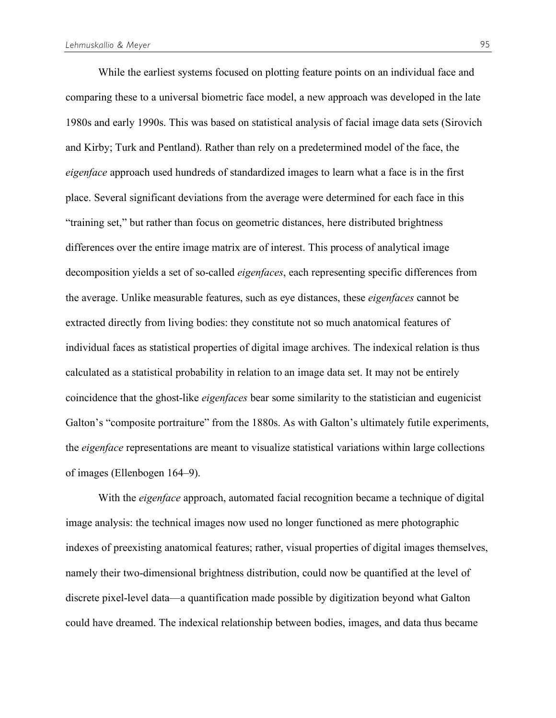While the earliest systems focused on plotting feature points on an individual face and comparing these to a universal biometric face model, a new approach was developed in the late 1980s and early 1990s. This was based on statistical analysis of facial image data sets (Sirovich and Kirby; Turk and Pentland). Rather than rely on a predetermined model of the face, the *eigenface* approach used hundreds of standardized images to learn what a face is in the first place. Several significant deviations from the average were determined for each face in this "training set," but rather than focus on geometric distances, here distributed brightness differences over the entire image matrix are of interest. This process of analytical image decomposition yields a set of so-called *eigenfaces*, each representing specific differences from the average. Unlike measurable features, such as eye distances, these *eigenfaces* cannot be extracted directly from living bodies: they constitute not so much anatomical features of individual faces as statistical properties of digital image archives. The indexical relation is thus calculated as a statistical probability in relation to an image data set. It may not be entirely coincidence that the ghost-like *eigenfaces* bear some similarity to the statistician and eugenicist Galton's "composite portraiture" from the 1880s. As with Galton's ultimately futile experiments, the *eigenface* representations are meant to visualize statistical variations within large collections of images (Ellenbogen 164–9).

With the *eigenface* approach, automated facial recognition became a technique of digital image analysis: the technical images now used no longer functioned as mere photographic indexes of preexisting anatomical features; rather, visual properties of digital images themselves, namely their two-dimensional brightness distribution, could now be quantified at the level of discrete pixel-level data—a quantification made possible by digitization beyond what Galton could have dreamed. The indexical relationship between bodies, images, and data thus became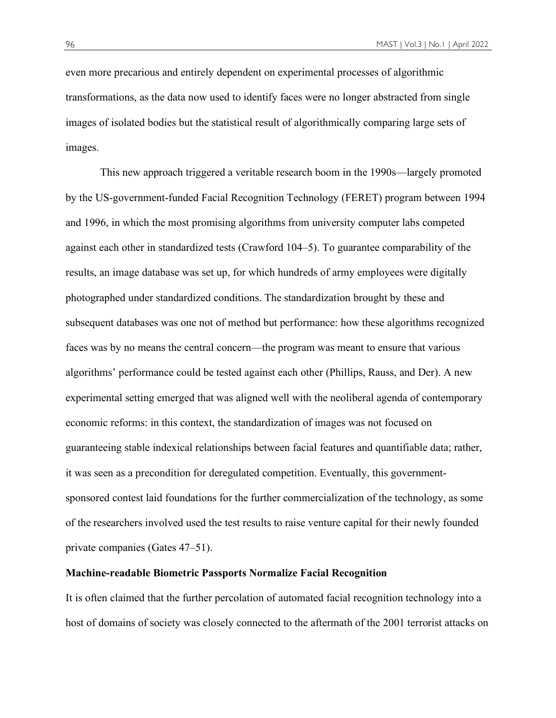even more precarious and entirely dependent on experimental processes of algorithmic transformations, as the data now used to identify faces were no longer abstracted from single images of isolated bodies but the statistical result of algorithmically comparing large sets of images.

This new approach triggered a veritable research boom in the 1990s—largely promoted by the US-government-funded Facial Recognition Technology (FERET) program between 1994 and 1996, in which the most promising algorithms from university computer labs competed against each other in standardized tests (Crawford 104–5). To guarantee comparability of the results, an image database was set up, for which hundreds of army employees were digitally photographed under standardized conditions. The standardization brought by these and subsequent databases was one not of method but performance: how these algorithms recognized faces was by no means the central concern—the program was meant to ensure that various algorithms' performance could be tested against each other (Phillips, Rauss, and Der). A new experimental setting emerged that was aligned well with the neoliberal agenda of contemporary economic reforms: in this context, the standardization of images was not focused on guaranteeing stable indexical relationships between facial features and quantifiable data; rather, it was seen as a precondition for deregulated competition. Eventually, this governmentsponsored contest laid foundations for the further commercialization of the technology, as some of the researchers involved used the test results to raise venture capital for their newly founded private companies (Gates 47–51).

#### **Machine-readable Biometric Passports Normalize Facial Recognition**

It is often claimed that the further percolation of automated facial recognition technology into a host of domains of society was closely connected to the aftermath of the 2001 terrorist attacks on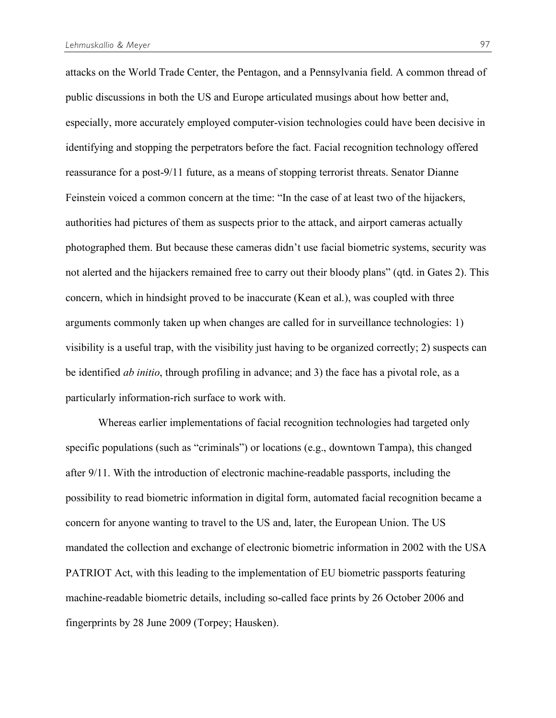attacks on the World Trade Center, the Pentagon, and a Pennsylvania field. A common thread of public discussions in both the US and Europe articulated musings about how better and, especially, more accurately employed computer-vision technologies could have been decisive in identifying and stopping the perpetrators before the fact. Facial recognition technology offered reassurance for a post-9/11 future, as a means of stopping terrorist threats. Senator Dianne Feinstein voiced a common concern at the time: "In the case of at least two of the hijackers, authorities had pictures of them as suspects prior to the attack, and airport cameras actually photographed them. But because these cameras didn't use facial biometric systems, security was not alerted and the hijackers remained free to carry out their bloody plans" (qtd. in Gates 2). This concern, which in hindsight proved to be inaccurate (Kean et al.), was coupled with three arguments commonly taken up when changes are called for in surveillance technologies: 1) visibility is a useful trap, with the visibility just having to be organized correctly; 2) suspects can be identified *ab initio*, through profiling in advance; and 3) the face has a pivotal role, as a particularly information-rich surface to work with.

Whereas earlier implementations of facial recognition technologies had targeted only specific populations (such as "criminals") or locations (e.g., downtown Tampa), this changed after 9/11. With the introduction of electronic machine-readable passports, including the possibility to read biometric information in digital form, automated facial recognition became a concern for anyone wanting to travel to the US and, later, the European Union. The US mandated the collection and exchange of electronic biometric information in 2002 with the USA PATRIOT Act, with this leading to the implementation of EU biometric passports featuring machine-readable biometric details, including so-called face prints by 26 October 2006 and fingerprints by 28 June 2009 (Torpey; Hausken).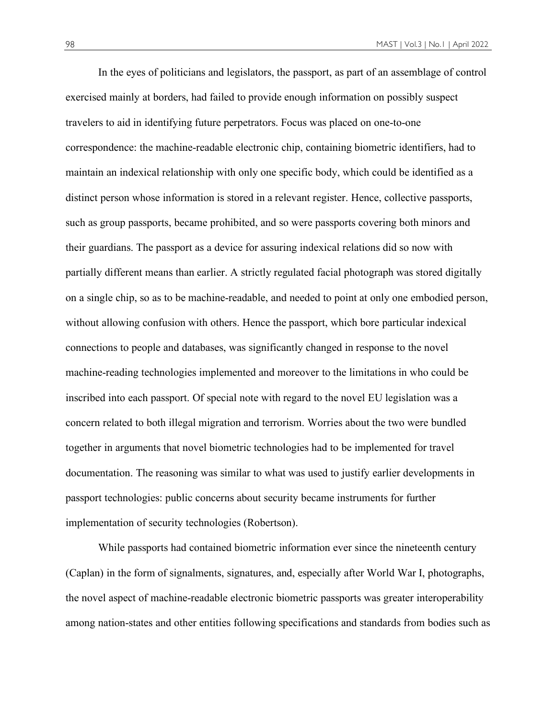In the eyes of politicians and legislators, the passport, as part of an assemblage of control exercised mainly at borders, had failed to provide enough information on possibly suspect travelers to aid in identifying future perpetrators. Focus was placed on one-to-one correspondence: the machine-readable electronic chip, containing biometric identifiers, had to maintain an indexical relationship with only one specific body, which could be identified as a distinct person whose information is stored in a relevant register. Hence, collective passports, such as group passports, became prohibited, and so were passports covering both minors and their guardians. The passport as a device for assuring indexical relations did so now with partially different means than earlier. A strictly regulated facial photograph was stored digitally on a single chip, so as to be machine-readable, and needed to point at only one embodied person, without allowing confusion with others. Hence the passport, which bore particular indexical connections to people and databases, was significantly changed in response to the novel machine-reading technologies implemented and moreover to the limitations in who could be inscribed into each passport. Of special note with regard to the novel EU legislation was a concern related to both illegal migration and terrorism. Worries about the two were bundled together in arguments that novel biometric technologies had to be implemented for travel documentation. The reasoning was similar to what was used to justify earlier developments in passport technologies: public concerns about security became instruments for further implementation of security technologies (Robertson).

While passports had contained biometric information ever since the nineteenth century (Caplan) in the form of signalments, signatures, and, especially after World War I, photographs, the novel aspect of machine-readable electronic biometric passports was greater interoperability among nation-states and other entities following specifications and standards from bodies such as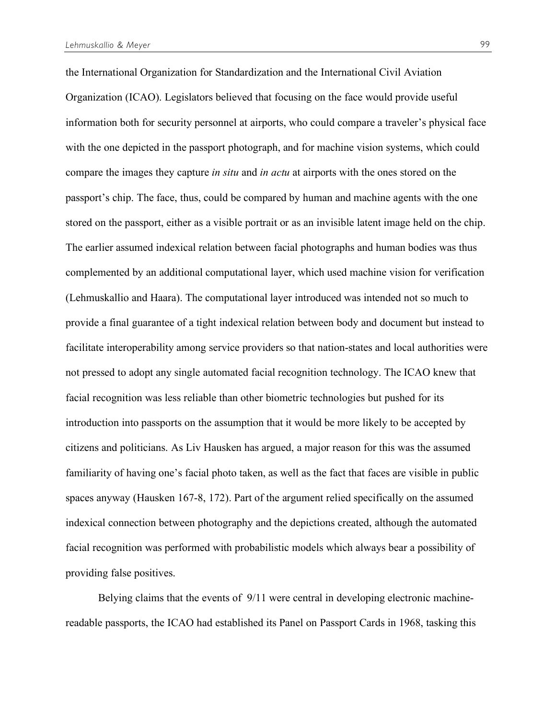the International Organization for Standardization and the International Civil Aviation Organization (ICAO). Legislators believed that focusing on the face would provide useful information both for security personnel at airports, who could compare a traveler's physical face with the one depicted in the passport photograph, and for machine vision systems, which could compare the images they capture *in situ* and *in actu* at airports with the ones stored on the passport's chip. The face, thus, could be compared by human and machine agents with the one stored on the passport, either as a visible portrait or as an invisible latent image held on the chip. The earlier assumed indexical relation between facial photographs and human bodies was thus complemented by an additional computational layer, which used machine vision for verification (Lehmuskallio and Haara). The computational layer introduced was intended not so much to provide a final guarantee of a tight indexical relation between body and document but instead to facilitate interoperability among service providers so that nation-states and local authorities were not pressed to adopt any single automated facial recognition technology. The ICAO knew that facial recognition was less reliable than other biometric technologies but pushed for its introduction into passports on the assumption that it would be more likely to be accepted by citizens and politicians. As Liv Hausken has argued, a major reason for this was the assumed familiarity of having one's facial photo taken, as well as the fact that faces are visible in public spaces anyway (Hausken 167-8, 172). Part of the argument relied specifically on the assumed indexical connection between photography and the depictions created, although the automated facial recognition was performed with probabilistic models which always bear a possibility of providing false positives.

Belying claims that the events of 9/11 were central in developing electronic machinereadable passports, the ICAO had established its Panel on Passport Cards in 1968, tasking this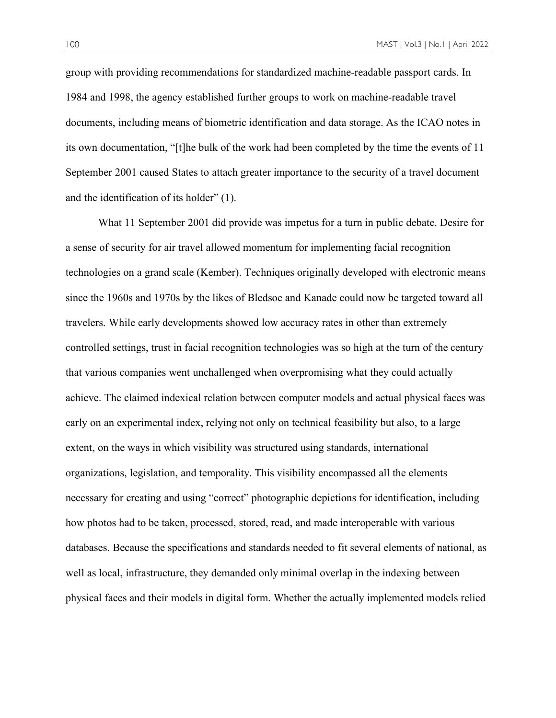group with providing recommendations for standardized machine-readable passport cards. In 1984 and 1998, the agency established further groups to work on machine-readable travel documents, including means of biometric identification and data storage. As the ICAO notes in its own documentation, "[t]he bulk of the work had been completed by the time the events of 11 September 2001 caused States to attach greater importance to the security of a travel document and the identification of its holder" (1).

What 11 September 2001 did provide was impetus for a turn in public debate. Desire for a sense of security for air travel allowed momentum for implementing facial recognition technologies on a grand scale (Kember). Techniques originally developed with electronic means since the 1960s and 1970s by the likes of Bledsoe and Kanade could now be targeted toward all travelers. While early developments showed low accuracy rates in other than extremely controlled settings, trust in facial recognition technologies was so high at the turn of the century that various companies went unchallenged when overpromising what they could actually achieve. The claimed indexical relation between computer models and actual physical faces was early on an experimental index, relying not only on technical feasibility but also, to a large extent, on the ways in which visibility was structured using standards, international organizations, legislation, and temporality. This visibility encompassed all the elements necessary for creating and using "correct" photographic depictions for identification, including how photos had to be taken, processed, stored, read, and made interoperable with various databases. Because the specifications and standards needed to fit several elements of national, as well as local, infrastructure, they demanded only minimal overlap in the indexing between physical faces and their models in digital form. Whether the actually implemented models relied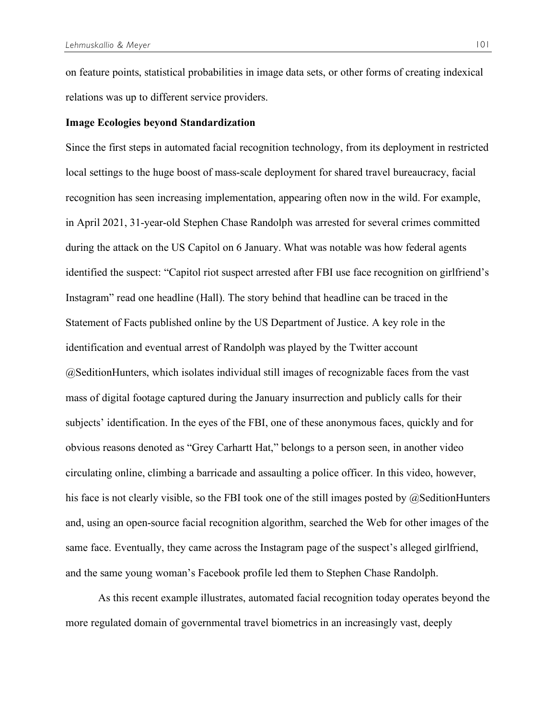on feature points, statistical probabilities in image data sets, or other forms of creating indexical relations was up to different service providers.

#### **Image Ecologies beyond Standardization**

Since the first steps in automated facial recognition technology, from its deployment in restricted local settings to the huge boost of mass-scale deployment for shared travel bureaucracy, facial recognition has seen increasing implementation, appearing often now in the wild. For example, in April 2021, 31-year-old Stephen Chase Randolph was arrested for several crimes committed during the attack on the US Capitol on 6 January. What was notable was how federal agents identified the suspect: "Capitol riot suspect arrested after FBI use face recognition on girlfriend's Instagram" read one headline (Hall). The story behind that headline can be traced in the Statement of Facts published online by the US Department of Justice. A key role in the identification and eventual arrest of Randolph was played by the Twitter account @SeditionHunters, which isolates individual still images of recognizable faces from the vast mass of digital footage captured during the January insurrection and publicly calls for their subjects' identification. In the eyes of the FBI, one of these anonymous faces, quickly and for obvious reasons denoted as "Grey Carhartt Hat," belongs to a person seen, in another video circulating online, climbing a barricade and assaulting a police officer. In this video, however, his face is not clearly visible, so the FBI took one of the still images posted by @SeditionHunters and, using an open-source facial recognition algorithm, searched the Web for other images of the same face. Eventually, they came across the Instagram page of the suspect's alleged girlfriend, and the same young woman's Facebook profile led them to Stephen Chase Randolph.

As this recent example illustrates, automated facial recognition today operates beyond the more regulated domain of governmental travel biometrics in an increasingly vast, deeply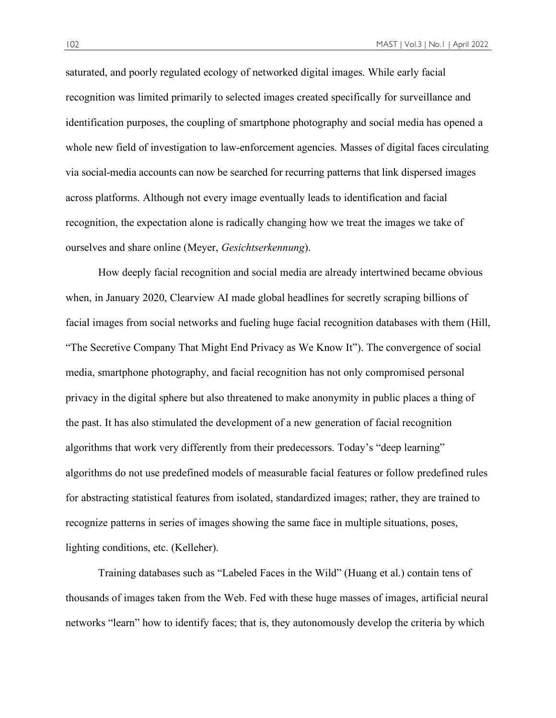saturated, and poorly regulated ecology of networked digital images. While early facial recognition was limited primarily to selected images created specifically for surveillance and identification purposes, the coupling of smartphone photography and social media has opened a whole new field of investigation to law-enforcement agencies. Masses of digital faces circulating via social-media accounts can now be searched for recurring patterns that link dispersed images across platforms. Although not every image eventually leads to identification and facial recognition, the expectation alone is radically changing how we treat the images we take of ourselves and share online (Meyer, *Gesichtserkennung*).

How deeply facial recognition and social media are already intertwined became obvious when, in January 2020, Clearview AI made global headlines for secretly scraping billions of facial images from social networks and fueling huge facial recognition databases with them (Hill, "The Secretive Company That Might End Privacy as We Know It"). The convergence of social media, smartphone photography, and facial recognition has not only compromised personal privacy in the digital sphere but also threatened to make anonymity in public places a thing of the past. It has also stimulated the development of a new generation of facial recognition algorithms that work very differently from their predecessors. Today's "deep learning" algorithms do not use predefined models of measurable facial features or follow predefined rules for abstracting statistical features from isolated, standardized images; rather, they are trained to recognize patterns in series of images showing the same face in multiple situations, poses, lighting conditions, etc. (Kelleher).

Training databases such as "Labeled Faces in the Wild" (Huang et al.) contain tens of thousands of images taken from the Web. Fed with these huge masses of images, artificial neural networks "learn" how to identify faces; that is, they autonomously develop the criteria by which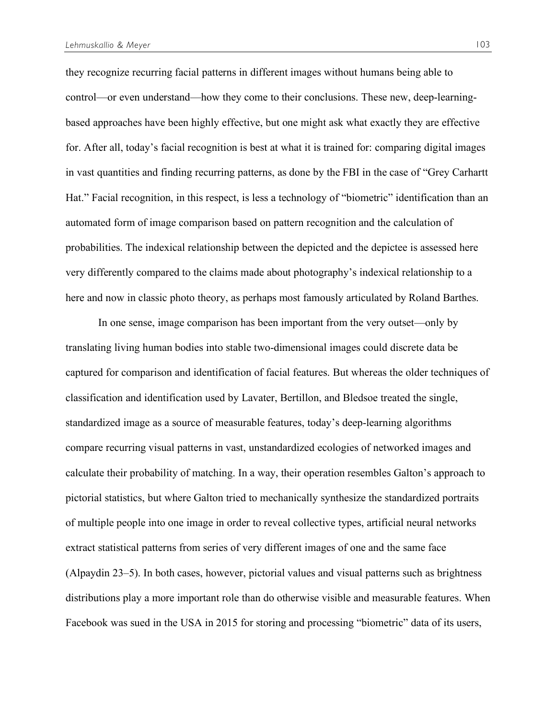they recognize recurring facial patterns in different images without humans being able to control—or even understand—how they come to their conclusions. These new, deep-learningbased approaches have been highly effective, but one might ask what exactly they are effective for. After all, today's facial recognition is best at what it is trained for: comparing digital images in vast quantities and finding recurring patterns, as done by the FBI in the case of "Grey Carhartt Hat." Facial recognition, in this respect, is less a technology of "biometric" identification than an automated form of image comparison based on pattern recognition and the calculation of probabilities. The indexical relationship between the depicted and the depictee is assessed here very differently compared to the claims made about photography's indexical relationship to a here and now in classic photo theory, as perhaps most famously articulated by Roland Barthes.

In one sense, image comparison has been important from the very outset—only by translating living human bodies into stable two-dimensional images could discrete data be captured for comparison and identification of facial features. But whereas the older techniques of classification and identification used by Lavater, Bertillon, and Bledsoe treated the single, standardized image as a source of measurable features, today's deep-learning algorithms compare recurring visual patterns in vast, unstandardized ecologies of networked images and calculate their probability of matching. In a way, their operation resembles Galton's approach to pictorial statistics, but where Galton tried to mechanically synthesize the standardized portraits of multiple people into one image in order to reveal collective types, artificial neural networks extract statistical patterns from series of very different images of one and the same face (Alpaydin 23–5). In both cases, however, pictorial values and visual patterns such as brightness distributions play a more important role than do otherwise visible and measurable features. When Facebook was sued in the USA in 2015 for storing and processing "biometric" data of its users,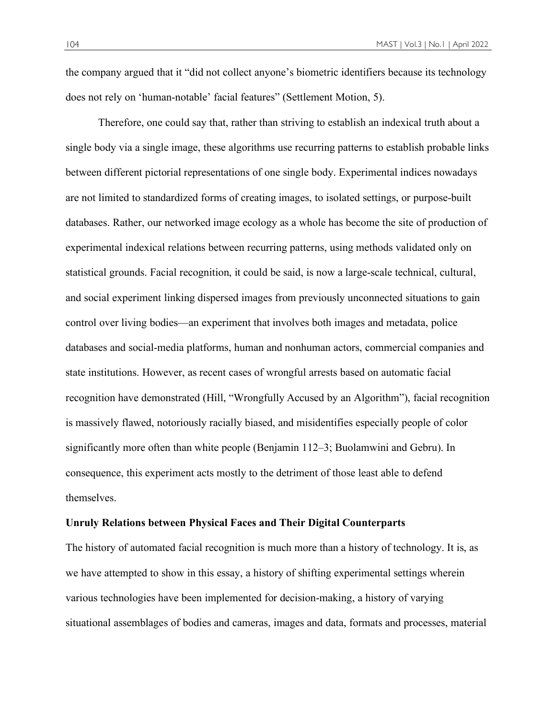the company argued that it "did not collect anyone's biometric identifiers because its technology does not rely on 'human-notable' facial features" (Settlement Motion, 5).

Therefore, one could say that, rather than striving to establish an indexical truth about a single body via a single image, these algorithms use recurring patterns to establish probable links between different pictorial representations of one single body. Experimental indices nowadays are not limited to standardized forms of creating images, to isolated settings, or purpose-built databases. Rather, our networked image ecology as a whole has become the site of production of experimental indexical relations between recurring patterns, using methods validated only on statistical grounds. Facial recognition, it could be said, is now a large-scale technical, cultural, and social experiment linking dispersed images from previously unconnected situations to gain control over living bodies—an experiment that involves both images and metadata, police databases and social-media platforms, human and nonhuman actors, commercial companies and state institutions. However, as recent cases of wrongful arrests based on automatic facial recognition have demonstrated (Hill, "Wrongfully Accused by an Algorithm"), facial recognition is massively flawed, notoriously racially biased, and misidentifies especially people of color significantly more often than white people (Benjamin 112–3; Buolamwini and Gebru). In consequence, this experiment acts mostly to the detriment of those least able to defend themselves.

#### **Unruly Relations between Physical Faces and Their Digital Counterparts**

The history of automated facial recognition is much more than a history of technology. It is, as we have attempted to show in this essay, a history of shifting experimental settings wherein various technologies have been implemented for decision-making, a history of varying situational assemblages of bodies and cameras, images and data, formats and processes, material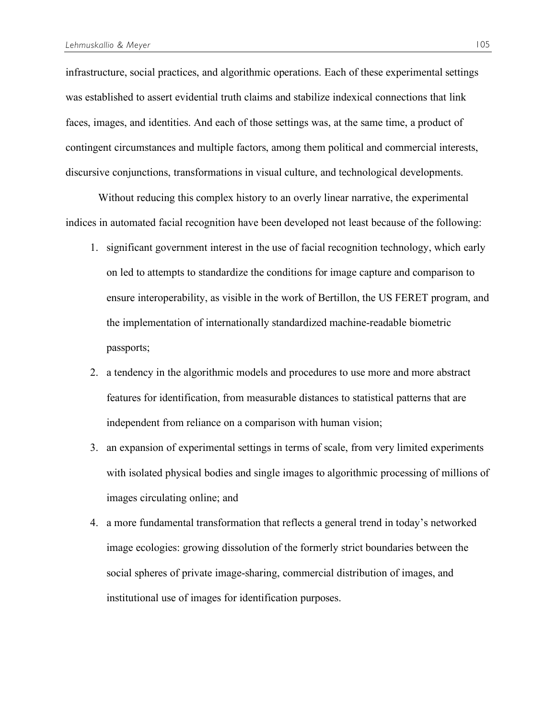infrastructure, social practices, and algorithmic operations. Each of these experimental settings was established to assert evidential truth claims and stabilize indexical connections that link faces, images, and identities. And each of those settings was, at the same time, a product of contingent circumstances and multiple factors, among them political and commercial interests, discursive conjunctions, transformations in visual culture, and technological developments.

Without reducing this complex history to an overly linear narrative, the experimental indices in automated facial recognition have been developed not least because of the following:

- 1. significant government interest in the use of facial recognition technology, which early on led to attempts to standardize the conditions for image capture and comparison to ensure interoperability, as visible in the work of Bertillon, the US FERET program, and the implementation of internationally standardized machine-readable biometric passports;
- 2. a tendency in the algorithmic models and procedures to use more and more abstract features for identification, from measurable distances to statistical patterns that are independent from reliance on a comparison with human vision;
- 3. an expansion of experimental settings in terms of scale, from very limited experiments with isolated physical bodies and single images to algorithmic processing of millions of images circulating online; and
- 4. a more fundamental transformation that reflects a general trend in today's networked image ecologies: growing dissolution of the formerly strict boundaries between the social spheres of private image-sharing, commercial distribution of images, and institutional use of images for identification purposes.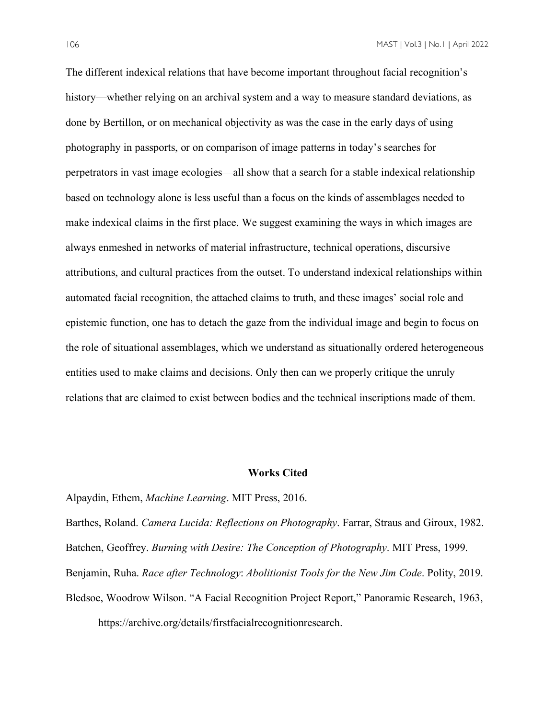The different indexical relations that have become important throughout facial recognition's history—whether relying on an archival system and a way to measure standard deviations, as done by Bertillon, or on mechanical objectivity as was the case in the early days of using photography in passports, or on comparison of image patterns in today's searches for perpetrators in vast image ecologies—all show that a search for a stable indexical relationship based on technology alone is less useful than a focus on the kinds of assemblages needed to make indexical claims in the first place. We suggest examining the ways in which images are always enmeshed in networks of material infrastructure, technical operations, discursive attributions, and cultural practices from the outset. To understand indexical relationships within automated facial recognition, the attached claims to truth, and these images' social role and epistemic function, one has to detach the gaze from the individual image and begin to focus on the role of situational assemblages, which we understand as situationally ordered heterogeneous entities used to make claims and decisions. Only then can we properly critique the unruly relations that are claimed to exist between bodies and the technical inscriptions made of them.

#### **Works Cited**

Alpaydin, Ethem, *Machine Learning*. MIT Press, 2016.

Barthes, Roland. *Camera Lucida: Reflections on Photography*. Farrar, Straus and Giroux, 1982. Batchen, Geoffrey. *Burning with Desire: The Conception of Photography*. MIT Press, 1999. Benjamin, Ruha. *Race after Technology*: *Abolitionist Tools for the New Jim Code*. Polity, 2019. Bledsoe, Woodrow Wilson. "A Facial Recognition Project Report," Panoramic Research, 1963, https://archive.org/details/firstfacialrecognitionresearch.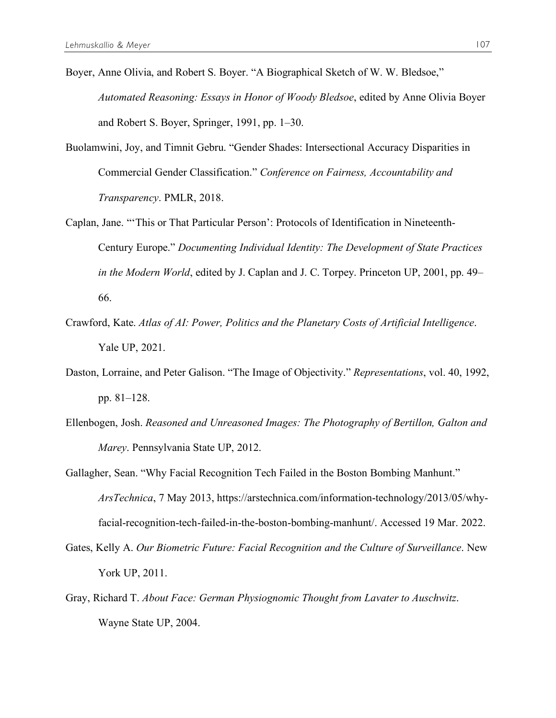- Boyer, Anne Olivia, and Robert S. Boyer. "A Biographical Sketch of W. W. Bledsoe," *Automated Reasoning: Essays in Honor of Woody Bledsoe*, edited by Anne Olivia Boyer and Robert S. Boyer, Springer, 1991, pp. 1–30.
- Buolamwini, Joy, and Timnit Gebru. "Gender Shades: Intersectional Accuracy Disparities in Commercial Gender Classification." *Conference on Fairness, Accountability and Transparency*. PMLR, 2018.
- Caplan, Jane. "'This or That Particular Person': Protocols of Identification in Nineteenth-Century Europe." *Documenting Individual Identity: The Development of State Practices in the Modern World*, edited by J. Caplan and J. C. Torpey. Princeton UP, 2001, pp. 49– 66.
- Crawford, Kate. *Atlas of AI: Power, Politics and the Planetary Costs of Artificial Intelligence*. Yale UP, 2021.
- Daston, Lorraine, and Peter Galison. "The Image of Objectivity." *Representations*, vol. 40, 1992, pp. 81–128.
- Ellenbogen, Josh. *Reasoned and Unreasoned Images: The Photography of Bertillon, Galton and Marey*. Pennsylvania State UP, 2012.
- Gallagher, Sean. "Why Facial Recognition Tech Failed in the Boston Bombing Manhunt." *ArsTechnica*, 7 May 2013, https://arstechnica.com/information-technology/2013/05/whyfacial-recognition-tech-failed-in-the-boston-bombing-manhunt/. Accessed 19 Mar. 2022.
- Gates, Kelly A. *Our Biometric Future: Facial Recognition and the Culture of Surveillance*. New York UP, 2011.
- Gray, Richard T. *About Face: German Physiognomic Thought from Lavater to Auschwitz*. Wayne State UP, 2004.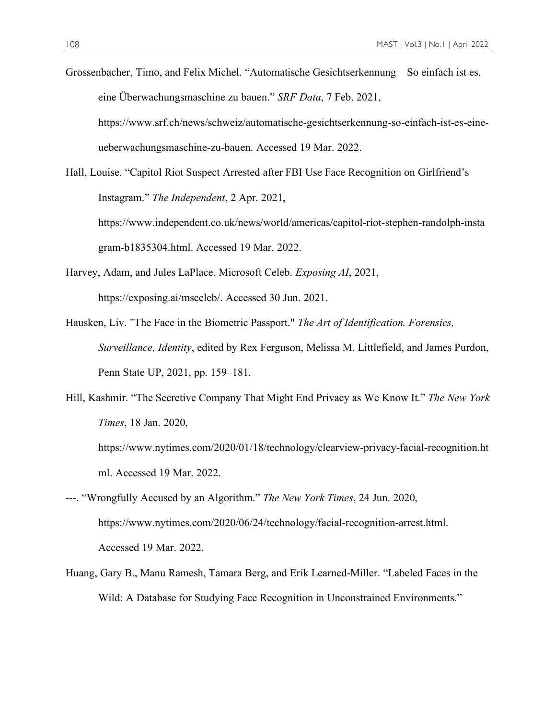Grossenbacher, Timo, and Felix Michel. "Automatische Gesichtserkennung—So einfach ist es, eine Überwachungsmaschine zu bauen." *SRF Data*, 7 Feb. 2021, https://www.srf.ch/news/schweiz/automatische-gesichtserkennung-so-einfach-ist-es-eineueberwachungsmaschine-zu-bauen. Accessed 19 Mar. 2022.

Hall, Louise. "Capitol Riot Suspect Arrested after FBI Use Face Recognition on Girlfriend's Instagram." *The Independent*, 2 Apr. 2021, https://www.independent.co.uk/news/world/americas/capitol-riot-stephen-randolph-insta gram-b1835304.html. Accessed 19 Mar. 2022.

- Harvey, Adam, and Jules LaPlace. Microsoft Celeb. *Exposing AI*, 2021, https://exposing.ai/msceleb/. Accessed 30 Jun. 2021.
- Hausken, Liv. "The Face in the Biometric Passport." *The Art of Identification. Forensics, Surveillance, Identity*, edited by Rex Ferguson, Melissa M. Littlefield, and James Purdon, Penn State UP, 2021, pp. 159–181.
- Hill, Kashmir. "The Secretive Company That Might End Privacy as We Know It." *The New York Times*, 18 Jan. 2020,

https://www.nytimes.com/2020/01/18/technology/clearview-privacy-facial-recognition.ht ml. Accessed 19 Mar. 2022.

- ---. "Wrongfully Accused by an Algorithm." *The New York Times*, 24 Jun. 2020, https://www.nytimes.com/2020/06/24/technology/facial-recognition-arrest.html. Accessed 19 Mar. 2022.
- Huang, Gary B., Manu Ramesh, Tamara Berg, and Erik Learned-Miller. "Labeled Faces in the Wild: A Database for Studying Face Recognition in Unconstrained Environments."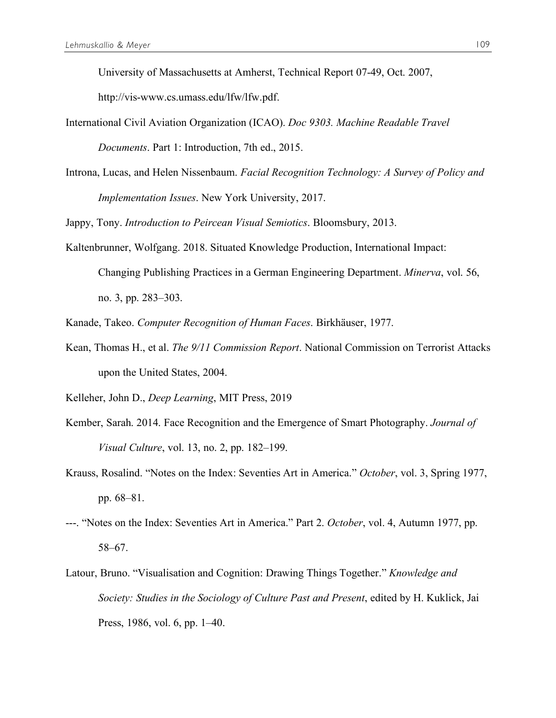University of Massachusetts at Amherst, Technical Report 07-49, Oct. 2007,

http://vis-www.cs.umass.edu/lfw/lfw.pdf.

- International Civil Aviation Organization (ICAO). *Doc 9303. Machine Readable Travel Documents*. Part 1: Introduction, 7th ed., 2015.
- Introna, Lucas, and Helen Nissenbaum. *Facial Recognition Technology: A Survey of Policy and Implementation Issues*. New York University, 2017.

Jappy, Tony. *Introduction to Peircean Visual Semiotics*. Bloomsbury, 2013.

Kaltenbrunner, Wolfgang. 2018. Situated Knowledge Production, International Impact: Changing Publishing Practices in a German Engineering Department. *Minerva*, vol. 56, no. 3, pp. 283–303.

Kanade, Takeo. *Computer Recognition of Human Faces*. Birkhäuser, 1977.

Kean, Thomas H., et al. *The 9/11 Commission Report*. National Commission on Terrorist Attacks upon the United States, 2004.

Kelleher, John D., *Deep Learning*, MIT Press, 2019

- Kember, Sarah. 2014. Face Recognition and the Emergence of Smart Photography. *Journal of Visual Culture*, vol. 13, no. 2, pp. 182–199.
- Krauss, Rosalind. "Notes on the Index: Seventies Art in America." *October*, vol. 3, Spring 1977, pp. 68–81.
- ---. "Notes on the Index: Seventies Art in America." Part 2. *October*, vol. 4, Autumn 1977, pp. 58–67.
- Latour, Bruno. "Visualisation and Cognition: Drawing Things Together." *Knowledge and Society: Studies in the Sociology of Culture Past and Present*, edited by H. Kuklick, Jai Press, 1986, vol. 6, pp. 1–40.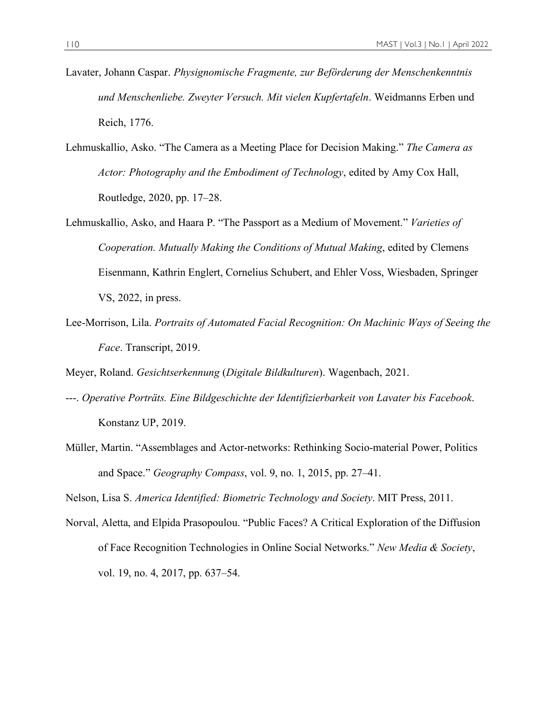- Lavater, Johann Caspar. *Physignomische Fragmente, zur Beförderung der Menschenkenntnis und Menschenliebe. Zweyter Versuch. Mit vielen Kupfertafeln*. Weidmanns Erben und Reich, 1776.
- Lehmuskallio, Asko. "The Camera as a Meeting Place for Decision Making." *The Camera as Actor: Photography and the Embodiment of Technology*, edited by Amy Cox Hall, Routledge, 2020, pp. 17–28.
- Lehmuskallio, Asko, and Haara P. "The Passport as a Medium of Movement." *Varieties of Cooperation. Mutually Making the Conditions of Mutual Making*, edited by Clemens Eisenmann, Kathrin Englert, Cornelius Schubert, and Ehler Voss, Wiesbaden, Springer VS, 2022, in press.
- Lee-Morrison, Lila. *Portraits of Automated Facial Recognition: On Machinic Ways of Seeing the Face*. Transcript, 2019.

Meyer, Roland. *Gesichtserkennung* (*Digitale Bildkulturen*). Wagenbach, 2021.

- ---. *Operative Porträts. Eine Bildgeschichte der Identifizierbarkeit von Lavater bis Facebook*. Konstanz UP, 2019.
- Müller, Martin. "Assemblages and Actor-networks: Rethinking Socio-material Power, Politics and Space." *Geography Compass*, vol. 9, no. 1, 2015, pp. 27–41.

Nelson, Lisa S. *America Identified: Biometric Technology and Society*. MIT Press, 2011.

Norval, Aletta, and Elpida Prasopoulou. "Public Faces? A Critical Exploration of the Diffusion of Face Recognition Technologies in Online Social Networks." *New Media & Society*, vol. 19, no. 4, 2017, pp. 637–54.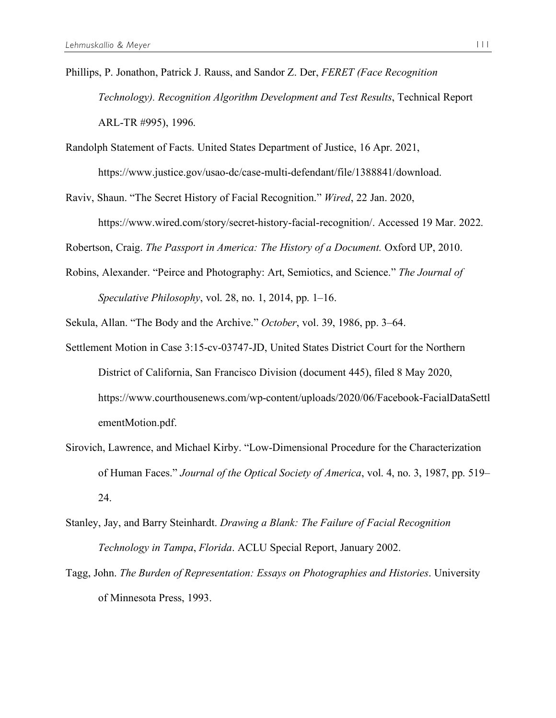- Phillips, P. Jonathon, Patrick J. Rauss, and Sandor Z. Der, *FERET (Face Recognition Technology). Recognition Algorithm Development and Test Results*, Technical Report ARL-TR #995), 1996.
- Randolph Statement of Facts. United States Department of Justice, 16 Apr. 2021, https://www.justice.gov/usao-dc/case-multi-defendant/file/1388841/download.
- Raviv, Shaun. "The Secret History of Facial Recognition." *Wired*, 22 Jan. 2020,

https://www.wired.com/story/secret-history-facial-recognition/. Accessed 19 Mar. 2022.

Robertson, Craig. *The Passport in America: The History of a Document.* Oxford UP, 2010.

- Robins, Alexander. "Peirce and Photography: Art, Semiotics, and Science." *The Journal of Speculative Philosophy*, vol. 28, no. 1, 2014, pp. 1–16.
- Sekula, Allan. "The Body and the Archive." *October*, vol. 39, 1986, pp. 3–64.
- Settlement Motion in Case 3:15-cv-03747-JD, United States District Court for the Northern District of California, San Francisco Division (document 445), filed 8 May 2020, https://www.courthousenews.com/wp-content/uploads/2020/06/Facebook-FacialDataSettl ementMotion.pdf.
- Sirovich, Lawrence, and Michael Kirby. "Low-Dimensional Procedure for the Characterization of Human Faces." *Journal of the Optical Society of America*, vol. 4, no. 3, 1987, pp. 519– 24.
- Stanley, Jay, and Barry Steinhardt. *Drawing a Blank: The Failure of Facial Recognition Technology in Tampa*, *Florida*. ACLU Special Report, January 2002.
- Tagg, John. *The Burden of Representation: Essays on Photographies and Histories*. University of Minnesota Press, 1993.